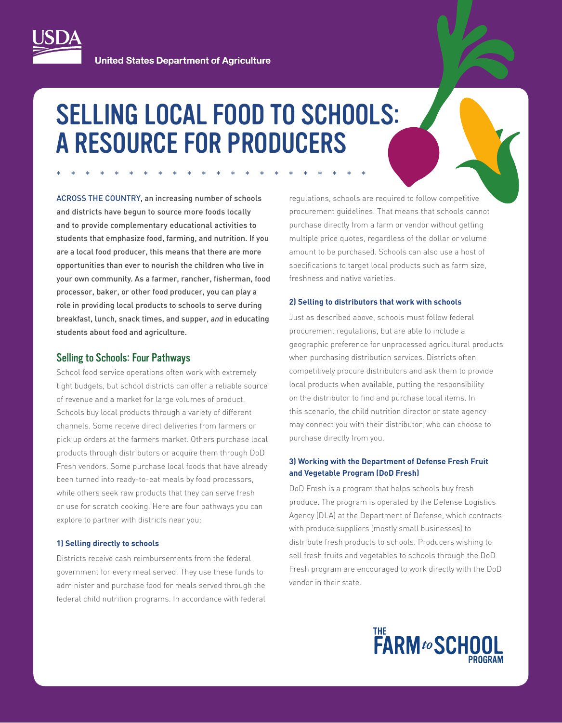

**United States Department of Agriculture** 

# SELLING LOCAL FOOD TO SCHOOLS: A RESOURCE FOR PRODUCERS

\*\*\*\*\*\*\*\*\*\*\*\*\*\*\*\*\*\*\*\*\*\*

ACROSS THE COUNTRY, an increasing number of schools and districts have begun to source more foods locally and to provide complementary educational activities to students that emphasize food, farming, and nutrition. If you are a local food producer, this means that there are more opportunities than ever to nourish the children who live in your own community. As a farmer, rancher, fisherman, food processor, baker, or other food producer, you can play a role in providing local products to schools to serve during breakfast, lunch, snack times, and supper, *and* in educating students about food and agriculture.

## Selling to Schools: Four Pathways

School food service operations often work with extremely tight budgets, but school districts can offer a reliable source of revenue and a market for large volumes of product. Schools buy local products through a variety of different channels. Some receive direct deliveries from farmers or pick up orders at the farmers market. Others purchase local products through distributors or acquire them through DoD Fresh vendors. Some purchase local foods that have already been turned into ready-to-eat meals by food processors, while others seek raw products that they can serve fresh or use for scratch cooking. Here are four pathways you can explore to partner with districts near you:

#### **1) Selling directly to schools**

Districts receive cash reimbursements from the federal government for every meal served. They use these funds to administer and purchase food for meals served through the federal child nutrition programs. In accordance with federal

regulations, schools are required to follow competitive procurement guidelines. That means that schools cannot purchase directly from a farm or vendor without getting multiple price quotes, regardless of the dollar or volume amount to be purchased. Schools can also use a host of specifications to target local products such as farm size, freshness and native varieties.

#### **2) Selling to distributors that work with schools**

Just as described above, schools must follow federal procurement regulations, but are able to include a geographic preference for unprocessed agricultural products when purchasing distribution services. Districts often competitively procure distributors and ask them to provide local products when available, putting the responsibility on the distributor to find and purchase local items. In this scenario, the child nutrition director or state agency may connect you with their distributor, who can choose to purchase directly from you.

## **3) Working with the Department of Defense Fresh Fruit and Vegetable Program (DoD Fresh)**

DoD Fresh is a program that helps schools buy fresh produce. The program is operated by the Defense Logistics Agency (DLA) at the Department of Defense, which contracts with produce suppliers (mostly small businesses) to distribute fresh products to schools. Producers wishing to sell fresh fruits and vegetables to schools through the DoD Fresh program are encouraged to work directly with the DoD vendor in their state.